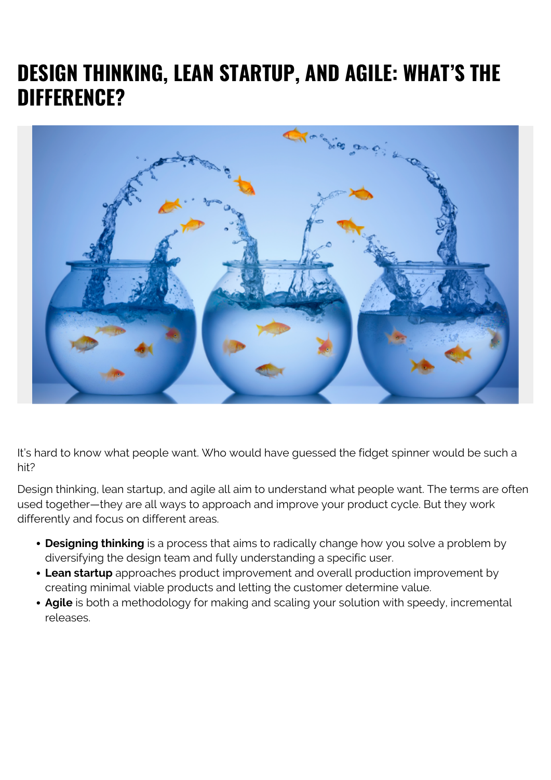# **DESIGN THINKING, LEAN STARTUP, AND AGILE: WHAT'S THE DIFFERENCE?**



It's hard to know what people want. Who would have guessed the fidget spinner would be such a hit?

Design thinking, lean startup, and agile all aim to understand what people want. The terms are often used together—they are all ways to approach and improve your product cycle. But they work differently and focus on different areas.

- **Designing thinking** is a process that aims to radically change how you solve a problem by diversifying the design team and fully understanding a specific user.
- **Lean startup** approaches product improvement and overall production improvement by creating minimal viable products and letting the customer determine value.
- **Agile** is both a methodology for making and scaling your solution with speedy, incremental releases.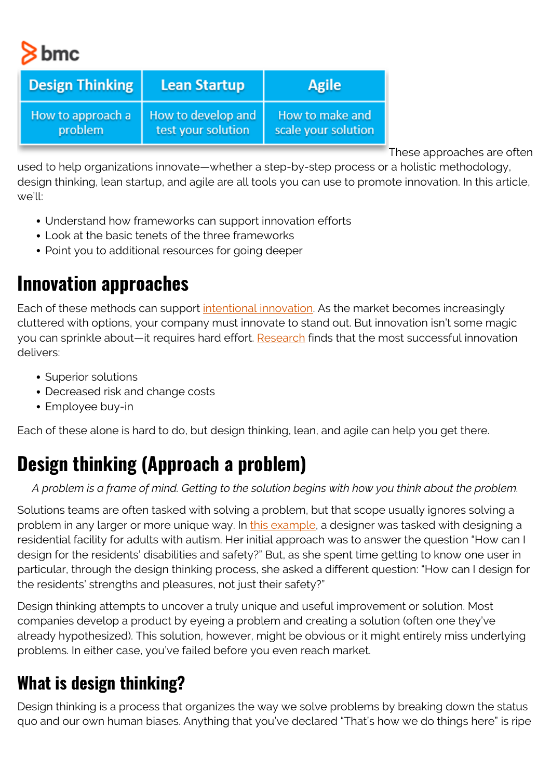bmc

| <b>Design Thinking</b> | <b>Lean Startup</b> | <b>Agile</b>        |
|------------------------|---------------------|---------------------|
| How to approach a      | How to develop and  | How to make and     |
| problem                | test your solution  | scale your solution |

These approaches are often

used to help organizations innovate—whether a step-by-step process or a holistic methodology, design thinking, lean startup, and agile are all tools you can use to promote innovation. In this article, we'll:

- Understand how frameworks can support innovation efforts
- Look at the basic tenets of the three frameworks
- Point you to additional resources for going deeper

#### **Innovation approaches**

Each of these methods can support [intentional innovation](https://blogs.bmc.com/blogs/innovation-lab/). As the market becomes increasingly cluttered with options, your company must innovate to stand out. But innovation isn't some magic you can sprinkle about—it requires hard effort. [Research](https://hbr.org/2018/09/why-design-thinking-works) finds that the most successful innovation delivers:

- Superior solutions
- Decreased risk and change costs
- Employee buy-in

Each of these alone is hard to do, but design thinking, lean, and agile can help you get there.

# **Design thinking (Approach a problem)**

#### *A problem is a frame of mind. Getting to the solution begins with how you think about the problem.*

Solutions teams are often tasked with solving a problem, but that scope usually ignores solving a problem in any larger or more unique way. In [this example](https://hbr.org/2018/09/why-design-thinking-works), a designer was tasked with designing a residential facility for adults with autism. Her initial approach was to answer the question "How can I design for the residents' disabilities and safety?" But, as she spent time getting to know one user in particular, through the design thinking process, she asked a different question: "How can I design for the residents' strengths and pleasures, not just their safety?"

Design thinking attempts to uncover a truly unique and useful improvement or solution. Most companies develop a product by eyeing a problem and creating a solution (often one they've already hypothesized). This solution, however, might be obvious or it might entirely miss underlying problems. In either case, you've failed before you even reach market.

#### **What is design thinking?**

Design thinking is a process that organizes the way we solve problems by breaking down the status quo and our own human biases. Anything that you've declared "That's how we do things here" is ripe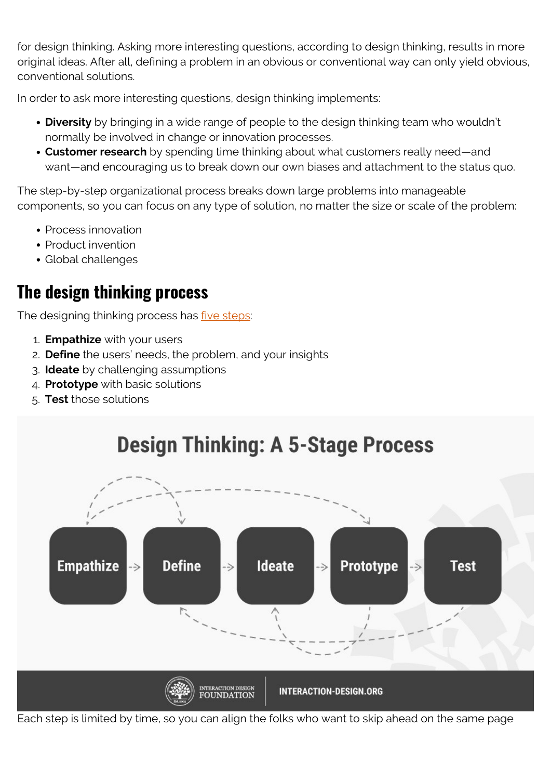for design thinking. Asking more interesting questions, according to design thinking, results in more original ideas. After all, defining a problem in an obvious or conventional way can only yield obvious, conventional solutions.

In order to ask more interesting questions, design thinking implements:

- **Diversity** by bringing in a wide range of people to the design thinking team who wouldn't normally be involved in change or innovation processes.
- **Customer research** by spending time thinking about what customers really need—and want—and encouraging us to break down our own biases and attachment to the status quo.

The step-by-step organizational process breaks down large problems into manageable components, so you can focus on any type of solution, no matter the size or scale of the problem:

- Process innovation
- Product invention
- Global challenges

#### **The design thinking process**

The designing thinking process has *five steps*:

- 1. **Empathize** with your users
- 2. **Define** the users' needs, the problem, and your insights
- 3. **Ideate** by challenging assumptions
- 4. **Prototype** with basic solutions
- 5. **Test** those solutions



Each step is limited by time, so you can align the folks who want to skip ahead on the same page

# **Design Thinking: A 5-Stage Process**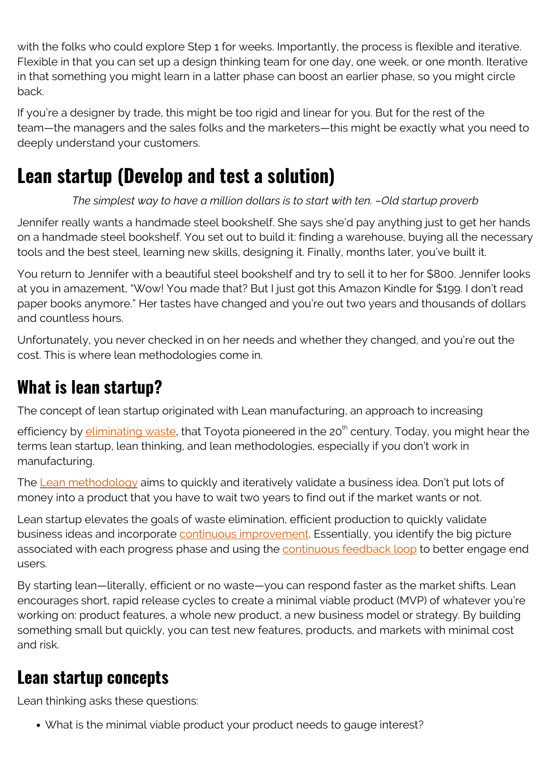with the folks who could explore Step 1 for weeks. Importantly, the process is flexible and iterative. Flexible in that you can set up a design thinking team for one day, one week, or one month. Iterative in that something you might learn in a latter phase can boost an earlier phase, so you might circle back.

If you're a designer by trade, this might be too rigid and linear for you. But for the rest of the team—the managers and the sales folks and the marketers—this might be exactly what you need to deeply understand your customers.

# **Lean startup (Develop and test a solution)**

*The simplest way to have a million dollars is to start with ten. –Old startup proverb*

Jennifer really wants a handmade steel bookshelf. She says she'd pay anything just to get her hands on a handmade steel bookshelf. You set out to build it: finding a warehouse, buying all the necessary tools and the best steel, learning new skills, designing it. Finally, months later, you've built it.

You return to Jennifer with a beautiful steel bookshelf and try to sell it to her for \$800. Jennifer looks at you in amazement, "Wow! You made that? But I just got this Amazon Kindle for \$199. I don't read paper books anymore." Her tastes have changed and you're out two years and thousands of dollars and countless hours.

Unfortunately, you never checked in on her needs and whether they changed, and you're out the cost. This is where lean methodologies come in.

## **What is lean startup?**

The concept of lean startup originated with Lean manufacturing, an approach to increasing

efficiency by **[eliminating waste](https://blogs.bmc.com/blogs/itil-vs-lean-six-sigma/)**, that Toyota pioneered in the 20<sup>th</sup> century. Today, you might hear the terms lean startup, lean thinking, and lean methodologies, especially if you don't work in manufacturing.

The [Lean methodology](https://blogs.bmc.com/blogs/lean-startup-enterprise/) aims to quickly and iteratively validate a business idea. Don't put lots of money into a product that you have to wait two years to find out if the market wants or not.

Lean startup elevates the goals of waste elimination, efficient production to quickly validate business ideas and incorporate [continuous improvement.](https://blogs.bmc.com/blogs/itil-continual-improvement/) Essentially, you identify the big picture associated with each progress phase and using the [continuous feedback loop](https://blogs.bmc.com/blogs/devops-feedback-loops/) to better engage end users.

By starting lean—literally, efficient or no waste—you can respond faster as the market shifts. Lean encourages short, rapid release cycles to create a minimal viable product (MVP) of whatever you're working on: product features, a whole new product, a new business model or strategy. By building something small but quickly, you can test new features, products, and markets with minimal cost and risk.

## **Lean startup concepts**

Lean thinking asks these questions:

What is the minimal viable product your product needs to gauge interest?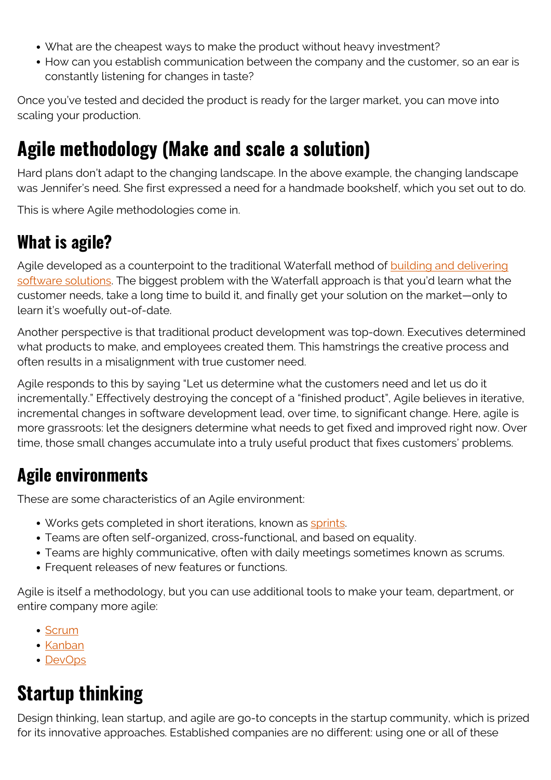- What are the cheapest ways to make the product without heavy investment?
- How can you establish communication between the company and the customer, so an ear is constantly listening for changes in taste?

Once you've tested and decided the product is ready for the larger market, you can move into scaling your production.

## **Agile methodology (Make and scale a solution)**

Hard plans don't adapt to the changing landscape. In the above example, the changing landscape was Jennifer's need. She first expressed a need for a handmade bookshelf, which you set out to do.

This is where Agile methodologies come in.

#### **What is agile?**

Agile developed as a counterpoint to the traditional Waterfall method of **building and delivering** [software solutions](https://blogs.bmc.com/blogs/sdlc-software-development-lifecycle/). The biggest problem with the Waterfall approach is that you'd learn what the customer needs, take a long time to build it, and finally get your solution on the market—only to learn it's woefully out-of-date.

Another perspective is that traditional product development was top-down. Executives determined what products to make, and employees created them. This hamstrings the creative process and often results in a misalignment with true customer need.

Agile responds to this by saying "Let us determine what the customers need and let us do it incrementally." Effectively destroying the concept of a "finished product", Agile believes in iterative, incremental changes in software development lead, over time, to significant change. Here, agile is more grassroots: let the designers determine what needs to get fixed and improved right now. Over time, those small changes accumulate into a truly useful product that fixes customers' problems.

#### **Agile environments**

These are some characteristics of an Agile environment:

- Works gets completed in short iterations, known as [sprints.](https://blogs.bmc.com/blogs/sprint-zero/)
- Teams are often self-organized, cross-functional, and based on equality.
- Teams are highly communicative, often with daily meetings sometimes known as scrums.
- Frequent releases of new features or functions.

Agile is itself a methodology, but you can use additional tools to make your team, department, or entire company more agile:

- [Scrum](https://blogs.bmc.com/blogs/agile-scrum-getting-started/)
- [Kanban](https://blogs.bmc.com/blogs/scrum-vs-kanban/)
- [DevOps](https://blogs.bmc.com/blogs/devops-agile/)

# **Startup thinking**

Design thinking, lean startup, and agile are go-to concepts in the startup community, which is prized for its innovative approaches. Established companies are no different: using one or all of these